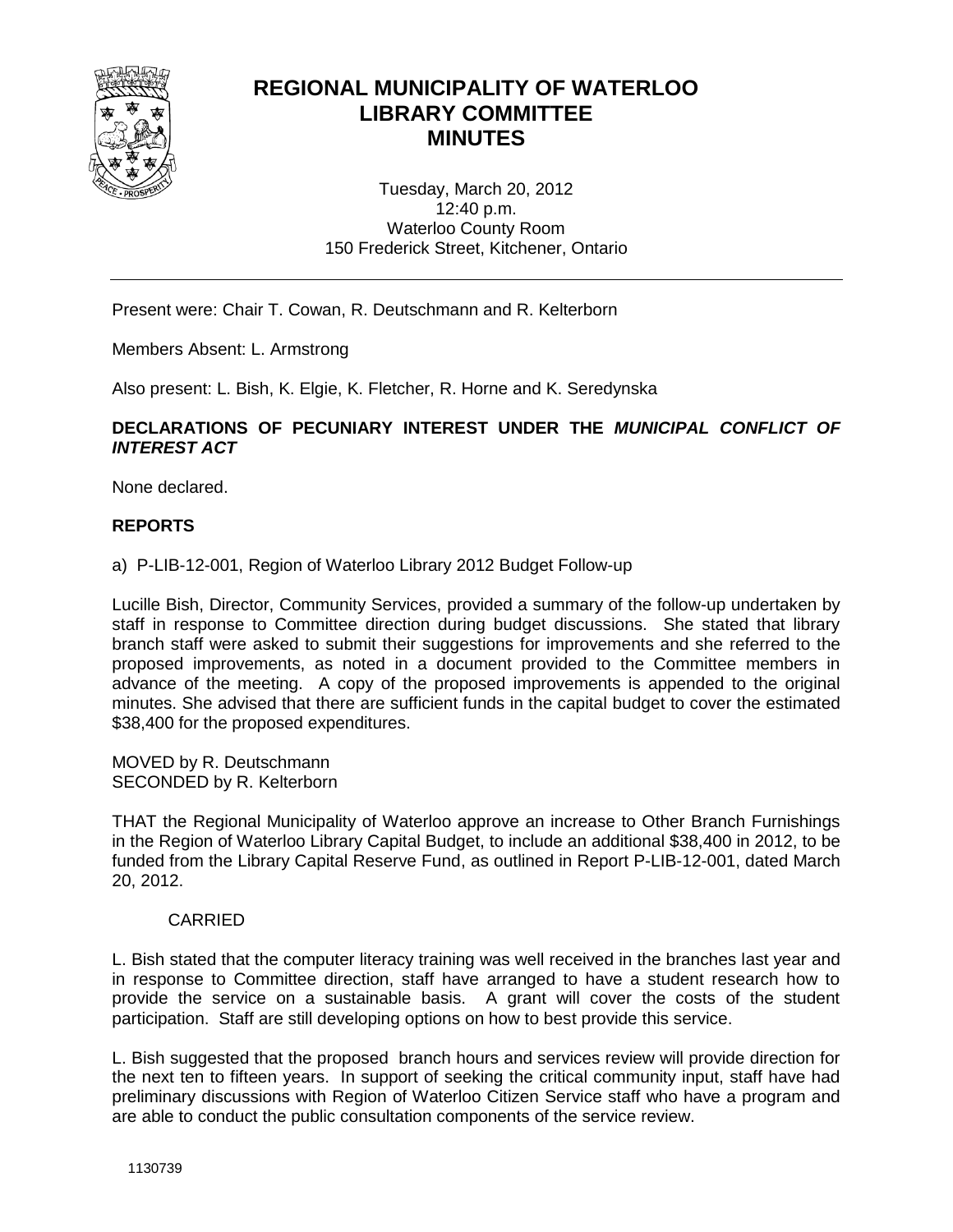

# **REGIONAL MUNICIPALITY OF WATERLOO LIBRARY COMMITTEE MINUTES**

Tuesday, March 20, 2012 12:40 p.m. Waterloo County Room 150 Frederick Street, Kitchener, Ontario

Present were: Chair T. Cowan, R. Deutschmann and R. Kelterborn

Members Absent: L. Armstrong

Also present: L. Bish, K. Elgie, K. Fletcher, R. Horne and K. Seredynska

## **DECLARATIONS OF PECUNIARY INTEREST UNDER THE** *MUNICIPAL CONFLICT OF INTEREST ACT*

None declared.

# **REPORTS**

a) P-LIB-12-001, Region of Waterloo Library 2012 Budget Follow-up

Lucille Bish, Director, Community Services, provided a summary of the follow-up undertaken by staff in response to Committee direction during budget discussions. She stated that library branch staff were asked to submit their suggestions for improvements and she referred to the proposed improvements, as noted in a document provided to the Committee members in advance of the meeting. A copy of the proposed improvements is appended to the original minutes. She advised that there are sufficient funds in the capital budget to cover the estimated \$38,400 for the proposed expenditures.

MOVED by R. Deutschmann SECONDED by R. Kelterborn

THAT the Regional Municipality of Waterloo approve an increase to Other Branch Furnishings in the Region of Waterloo Library Capital Budget, to include an additional \$38,400 in 2012, to be funded from the Library Capital Reserve Fund, as outlined in Report P-LIB-12-001, dated March 20, 2012.

## CARRIED

L. Bish stated that the computer literacy training was well received in the branches last year and in response to Committee direction, staff have arranged to have a student research how to provide the service on a sustainable basis. A grant will cover the costs of the student participation. Staff are still developing options on how to best provide this service.

L. Bish suggested that the proposed branch hours and services review will provide direction for the next ten to fifteen years. In support of seeking the critical community input, staff have had preliminary discussions with Region of Waterloo Citizen Service staff who have a program and are able to conduct the public consultation components of the service review.